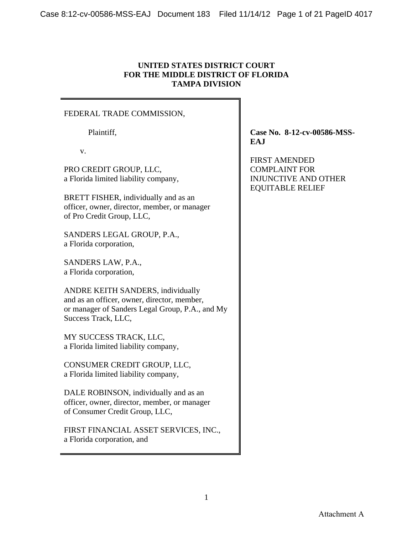# **UNITED STATES DISTRICT COURT FOR THE MIDDLE DISTRICT OF FLORIDA TAMPA DIVISION**

## FEDERAL TRADE COMMISSION,

Plaintiff,

v.

PRO CREDIT GROUP, LLC, a Florida limited liability company,

BRETT FISHER, individually and as an officer, owner, director, member, or manager of Pro Credit Group, LLC,

SANDERS LEGAL GROUP, P.A., a Florida corporation,

SANDERS LAW, P.A., a Florida corporation,

ANDRE KEITH SANDERS, individually and as an officer, owner, director, member, or manager of Sanders Legal Group, P.A., and My Success Track, LLC,

MY SUCCESS TRACK, LLC, a Florida limited liability company,

CONSUMER CREDIT GROUP, LLC, a Florida limited liability company,

DALE ROBINSON, individually and as an officer, owner, director, member, or manager of Consumer Credit Group, LLC,

FIRST FINANCIAL ASSET SERVICES, INC., a Florida corporation, and

**Case No. 8-12-cv-00586-MSS-EAJ** 

FIRST AMENDED COMPLAINT FOR INJUNCTIVE AND OTHER EQUITABLE RELIEF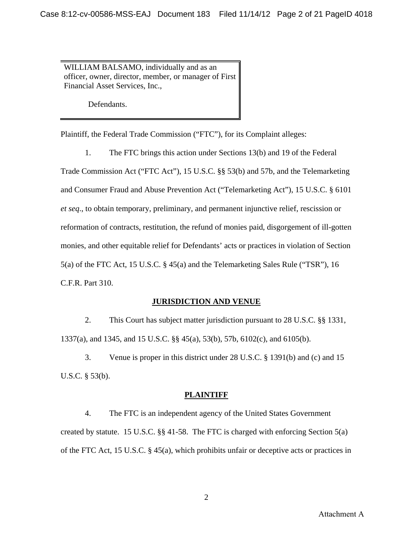WILLIAM BALSAMO, individually and as an officer, owner, director, member, or manager of First Financial Asset Services, Inc.,

Defendants.

Plaintiff, the Federal Trade Commission ("FTC"), for its Complaint alleges:

1. The FTC brings this action under Sections 13(b) and 19 of the Federal

Trade Commission Act ("FTC Act"), 15 U.S.C. §§ 53(b) and 57b, and the Telemarketing and Consumer Fraud and Abuse Prevention Act ("Telemarketing Act"), 15 U.S.C. § 6101 *et seq*., to obtain temporary, preliminary, and permanent injunctive relief, rescission or reformation of contracts, restitution, the refund of monies paid, disgorgement of ill-gotten monies, and other equitable relief for Defendants' acts or practices in violation of Section 5(a) of the FTC Act, 15 U.S.C. § 45(a) and the Telemarketing Sales Rule ("TSR"), 16 C.F.R. Part 310.

# **JURISDICTION AND VENUE**

2. This Court has subject matter jurisdiction pursuant to 28 U.S.C. §§ 1331, 1337(a), and 1345, and 15 U.S.C. §§ 45(a), 53(b), 57b, 6102(c), and 6105(b).

3. Venue is proper in this district under 28 U.S.C. § 1391(b) and (c) and 15 U.S.C. § 53(b).

# **PLAINTIFF**

4. The FTC is an independent agency of the United States Government created by statute. 15 U.S.C. §§ 41-58. The FTC is charged with enforcing Section 5(a) of the FTC Act, 15 U.S.C. § 45(a), which prohibits unfair or deceptive acts or practices in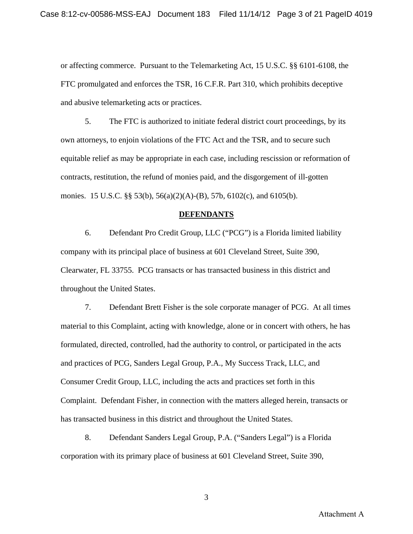or affecting commerce. Pursuant to the Telemarketing Act, 15 U.S.C. §§ 6101-6108, the FTC promulgated and enforces the TSR, 16 C.F.R. Part 310, which prohibits deceptive and abusive telemarketing acts or practices.

5. The FTC is authorized to initiate federal district court proceedings, by its own attorneys, to enjoin violations of the FTC Act and the TSR, and to secure such equitable relief as may be appropriate in each case, including rescission or reformation of contracts, restitution, the refund of monies paid, and the disgorgement of ill-gotten monies. 15 U.S.C. §§ 53(b), 56(a)(2)(A)-(B), 57b, 6102(c), and 6105(b).

#### **DEFENDANTS**

6. Defendant Pro Credit Group, LLC ("PCG") is a Florida limited liability company with its principal place of business at 601 Cleveland Street, Suite 390, Clearwater, FL 33755. PCG transacts or has transacted business in this district and throughout the United States.

7. Defendant Brett Fisher is the sole corporate manager of PCG. At all times material to this Complaint, acting with knowledge, alone or in concert with others, he has formulated, directed, controlled, had the authority to control, or participated in the acts and practices of PCG, Sanders Legal Group, P.A., My Success Track, LLC, and Consumer Credit Group, LLC, including the acts and practices set forth in this Complaint. Defendant Fisher, in connection with the matters alleged herein, transacts or has transacted business in this district and throughout the United States.

8. Defendant Sanders Legal Group, P.A. ("Sanders Legal") is a Florida corporation with its primary place of business at 601 Cleveland Street, Suite 390,

Attachment A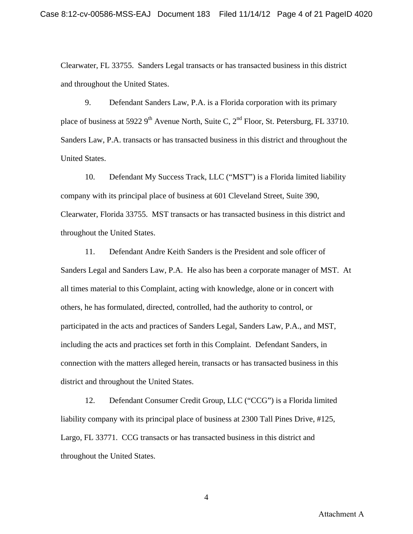Clearwater, FL 33755. Sanders Legal transacts or has transacted business in this district and throughout the United States.

9. Defendant Sanders Law, P.A. is a Florida corporation with its primary place of business at 5922 9<sup>th</sup> Avenue North, Suite C, 2<sup>nd</sup> Floor, St. Petersburg, FL 33710. Sanders Law, P.A. transacts or has transacted business in this district and throughout the United States.

10. Defendant My Success Track, LLC ("MST") is a Florida limited liability company with its principal place of business at 601 Cleveland Street, Suite 390, Clearwater, Florida 33755. MST transacts or has transacted business in this district and throughout the United States.

11. Defendant Andre Keith Sanders is the President and sole officer of Sanders Legal and Sanders Law, P.A. He also has been a corporate manager of MST. At all times material to this Complaint, acting with knowledge, alone or in concert with others, he has formulated, directed, controlled, had the authority to control, or participated in the acts and practices of Sanders Legal, Sanders Law, P.A., and MST, including the acts and practices set forth in this Complaint. Defendant Sanders, in connection with the matters alleged herein, transacts or has transacted business in this district and throughout the United States.

12. Defendant Consumer Credit Group, LLC ("CCG") is a Florida limited liability company with its principal place of business at 2300 Tall Pines Drive, #125, Largo, FL 33771. CCG transacts or has transacted business in this district and throughout the United States.

Attachment A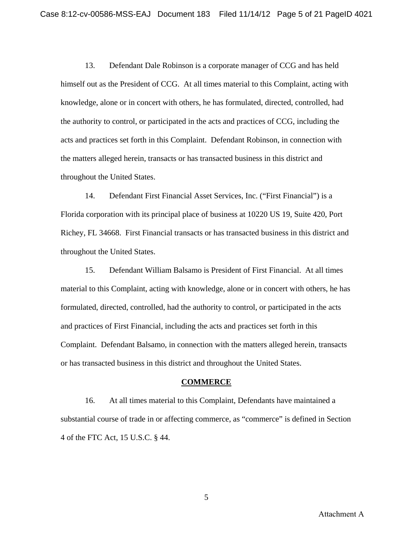13. Defendant Dale Robinson is a corporate manager of CCG and has held himself out as the President of CCG. At all times material to this Complaint, acting with knowledge, alone or in concert with others, he has formulated, directed, controlled, had the authority to control, or participated in the acts and practices of CCG, including the acts and practices set forth in this Complaint. Defendant Robinson, in connection with the matters alleged herein, transacts or has transacted business in this district and throughout the United States.

14. Defendant First Financial Asset Services, Inc. ("First Financial") is a Florida corporation with its principal place of business at 10220 US 19, Suite 420, Port Richey, FL 34668. First Financial transacts or has transacted business in this district and throughout the United States.

15. Defendant William Balsamo is President of First Financial. At all times material to this Complaint, acting with knowledge, alone or in concert with others, he has formulated, directed, controlled, had the authority to control, or participated in the acts and practices of First Financial, including the acts and practices set forth in this Complaint. Defendant Balsamo, in connection with the matters alleged herein, transacts or has transacted business in this district and throughout the United States.

### **COMMERCE**

16. At all times material to this Complaint, Defendants have maintained a substantial course of trade in or affecting commerce, as "commerce" is defined in Section 4 of the FTC Act, 15 U.S.C. § 44.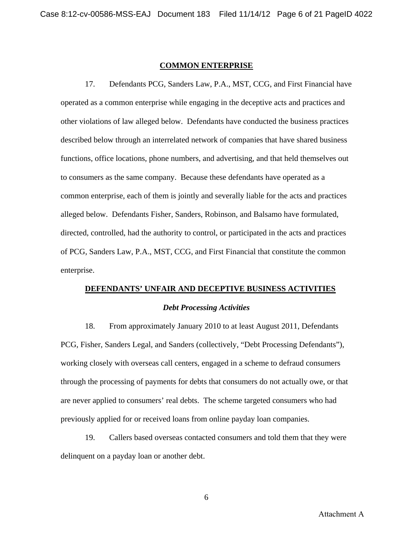#### **COMMON ENTERPRISE**

17. Defendants PCG, Sanders Law, P.A., MST, CCG, and First Financial have operated as a common enterprise while engaging in the deceptive acts and practices and other violations of law alleged below. Defendants have conducted the business practices described below through an interrelated network of companies that have shared business functions, office locations, phone numbers, and advertising, and that held themselves out to consumers as the same company. Because these defendants have operated as a common enterprise, each of them is jointly and severally liable for the acts and practices alleged below. Defendants Fisher, Sanders, Robinson, and Balsamo have formulated, directed, controlled, had the authority to control, or participated in the acts and practices of PCG, Sanders Law, P.A., MST, CCG, and First Financial that constitute the common enterprise.

# **DEFENDANTS' UNFAIR AND DECEPTIVE BUSINESS ACTIVITIES**

#### *Debt Processing Activities*

18. From approximately January 2010 to at least August 2011, Defendants PCG, Fisher, Sanders Legal, and Sanders (collectively, "Debt Processing Defendants"), working closely with overseas call centers, engaged in a scheme to defraud consumers through the processing of payments for debts that consumers do not actually owe, or that are never applied to consumers' real debts. The scheme targeted consumers who had previously applied for or received loans from online payday loan companies.

19. Callers based overseas contacted consumers and told them that they were delinquent on a payday loan or another debt.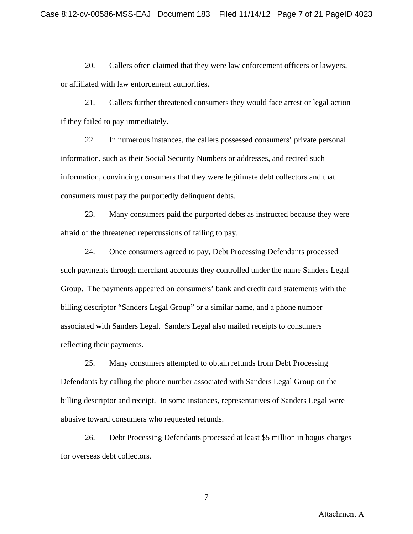20. Callers often claimed that they were law enforcement officers or lawyers, or affiliated with law enforcement authorities.

21. Callers further threatened consumers they would face arrest or legal action if they failed to pay immediately.

22. In numerous instances, the callers possessed consumers' private personal information, such as their Social Security Numbers or addresses, and recited such information, convincing consumers that they were legitimate debt collectors and that consumers must pay the purportedly delinquent debts.

23. Many consumers paid the purported debts as instructed because they were afraid of the threatened repercussions of failing to pay.

24. Once consumers agreed to pay, Debt Processing Defendants processed such payments through merchant accounts they controlled under the name Sanders Legal Group. The payments appeared on consumers' bank and credit card statements with the billing descriptor "Sanders Legal Group" or a similar name, and a phone number associated with Sanders Legal. Sanders Legal also mailed receipts to consumers reflecting their payments.

25. Many consumers attempted to obtain refunds from Debt Processing Defendants by calling the phone number associated with Sanders Legal Group on the billing descriptor and receipt. In some instances, representatives of Sanders Legal were abusive toward consumers who requested refunds.

26. Debt Processing Defendants processed at least \$5 million in bogus charges for overseas debt collectors.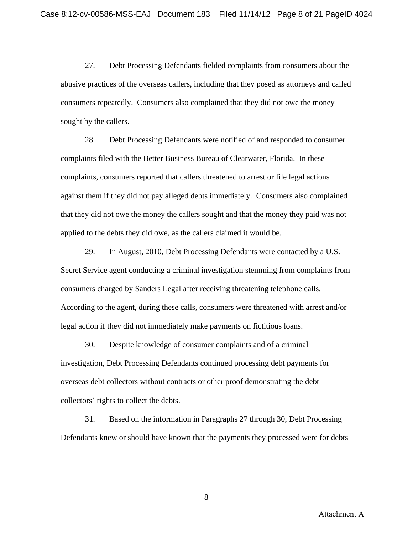27. Debt Processing Defendants fielded complaints from consumers about the abusive practices of the overseas callers, including that they posed as attorneys and called consumers repeatedly. Consumers also complained that they did not owe the money sought by the callers.

28. Debt Processing Defendants were notified of and responded to consumer complaints filed with the Better Business Bureau of Clearwater, Florida. In these complaints, consumers reported that callers threatened to arrest or file legal actions against them if they did not pay alleged debts immediately. Consumers also complained that they did not owe the money the callers sought and that the money they paid was not applied to the debts they did owe, as the callers claimed it would be.

29. In August, 2010, Debt Processing Defendants were contacted by a U.S. Secret Service agent conducting a criminal investigation stemming from complaints from consumers charged by Sanders Legal after receiving threatening telephone calls. According to the agent, during these calls, consumers were threatened with arrest and/or legal action if they did not immediately make payments on fictitious loans.

30. Despite knowledge of consumer complaints and of a criminal investigation, Debt Processing Defendants continued processing debt payments for overseas debt collectors without contracts or other proof demonstrating the debt collectors' rights to collect the debts.

31. Based on the information in Paragraphs 27 through 30, Debt Processing Defendants knew or should have known that the payments they processed were for debts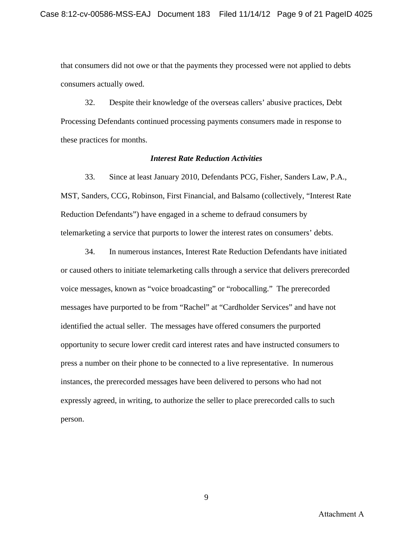that consumers did not owe or that the payments they processed were not applied to debts consumers actually owed.

32. Despite their knowledge of the overseas callers' abusive practices, Debt Processing Defendants continued processing payments consumers made in response to these practices for months.

#### *Interest Rate Reduction Activities*

33. Since at least January 2010, Defendants PCG, Fisher, Sanders Law, P.A., MST, Sanders, CCG, Robinson, First Financial, and Balsamo (collectively, "Interest Rate Reduction Defendants") have engaged in a scheme to defraud consumers by telemarketing a service that purports to lower the interest rates on consumers' debts.

34. In numerous instances, Interest Rate Reduction Defendants have initiated or caused others to initiate telemarketing calls through a service that delivers prerecorded voice messages, known as "voice broadcasting" or "robocalling." The prerecorded messages have purported to be from "Rachel" at "Cardholder Services" and have not identified the actual seller. The messages have offered consumers the purported opportunity to secure lower credit card interest rates and have instructed consumers to press a number on their phone to be connected to a live representative. In numerous instances, the prerecorded messages have been delivered to persons who had not expressly agreed, in writing, to authorize the seller to place prerecorded calls to such person.

Attachment A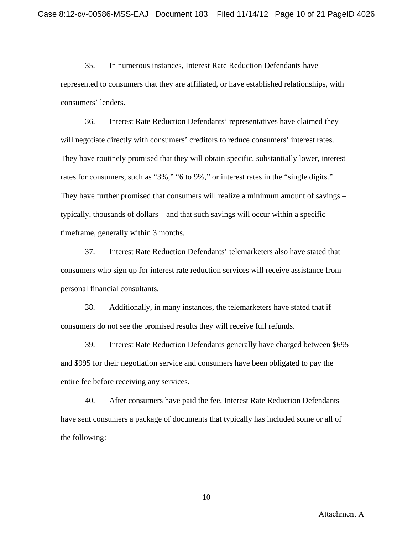35. In numerous instances, Interest Rate Reduction Defendants have represented to consumers that they are affiliated, or have established relationships, with consumers' lenders.

36. Interest Rate Reduction Defendants' representatives have claimed they will negotiate directly with consumers' creditors to reduce consumers' interest rates. They have routinely promised that they will obtain specific, substantially lower, interest rates for consumers, such as "3%," "6 to 9%," or interest rates in the "single digits." They have further promised that consumers will realize a minimum amount of savings – typically, thousands of dollars – and that such savings will occur within a specific timeframe, generally within 3 months.

37. Interest Rate Reduction Defendants' telemarketers also have stated that consumers who sign up for interest rate reduction services will receive assistance from personal financial consultants.

38. Additionally, in many instances, the telemarketers have stated that if consumers do not see the promised results they will receive full refunds.

39. Interest Rate Reduction Defendants generally have charged between \$695 and \$995 for their negotiation service and consumers have been obligated to pay the entire fee before receiving any services.

40. After consumers have paid the fee, Interest Rate Reduction Defendants have sent consumers a package of documents that typically has included some or all of the following: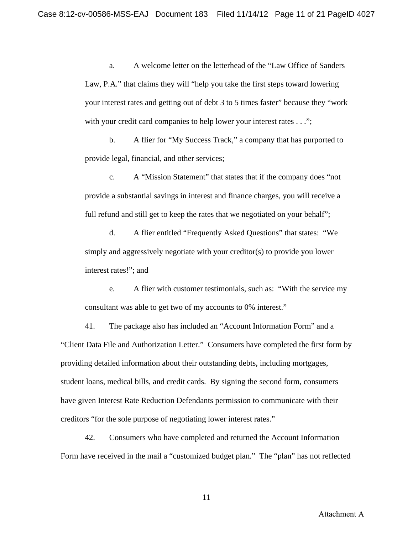a. A welcome letter on the letterhead of the "Law Office of Sanders Law, P.A." that claims they will "help you take the first steps toward lowering your interest rates and getting out of debt 3 to 5 times faster" because they "work with your credit card companies to help lower your interest rates . . .";

b. A flier for "My Success Track," a company that has purported to provide legal, financial, and other services;

c. A "Mission Statement" that states that if the company does "not provide a substantial savings in interest and finance charges, you will receive a full refund and still get to keep the rates that we negotiated on your behalf";

d. A flier entitled "Frequently Asked Questions" that states: "We simply and aggressively negotiate with your creditor(s) to provide you lower interest rates!"; and

e. A flier with customer testimonials, such as: "With the service my consultant was able to get two of my accounts to 0% interest."

 41. The package also has included an "Account Information Form" and a "Client Data File and Authorization Letter." Consumers have completed the first form by providing detailed information about their outstanding debts, including mortgages, student loans, medical bills, and credit cards. By signing the second form, consumers have given Interest Rate Reduction Defendants permission to communicate with their creditors "for the sole purpose of negotiating lower interest rates."

42. Consumers who have completed and returned the Account Information Form have received in the mail a "customized budget plan." The "plan" has not reflected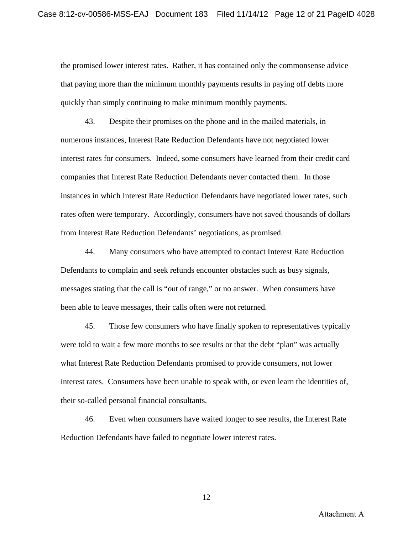the promised lower interest rates. Rather, it has contained only the commonsense advice that paying more than the minimum monthly payments results in paying off debts more quickly than simply continuing to make minimum monthly payments.

 43. Despite their promises on the phone and in the mailed materials, in numerous instances, Interest Rate Reduction Defendants have not negotiated lower interest rates for consumers. Indeed, some consumers have learned from their credit card companies that Interest Rate Reduction Defendants never contacted them. In those instances in which Interest Rate Reduction Defendants have negotiated lower rates, such rates often were temporary. Accordingly, consumers have not saved thousands of dollars from Interest Rate Reduction Defendants' negotiations, as promised.

 44. Many consumers who have attempted to contact Interest Rate Reduction Defendants to complain and seek refunds encounter obstacles such as busy signals, messages stating that the call is "out of range," or no answer. When consumers have been able to leave messages, their calls often were not returned.

45. Those few consumers who have finally spoken to representatives typically were told to wait a few more months to see results or that the debt "plan" was actually what Interest Rate Reduction Defendants promised to provide consumers, not lower interest rates. Consumers have been unable to speak with, or even learn the identities of, their so-called personal financial consultants.

 46. Even when consumers have waited longer to see results, the Interest Rate Reduction Defendants have failed to negotiate lower interest rates.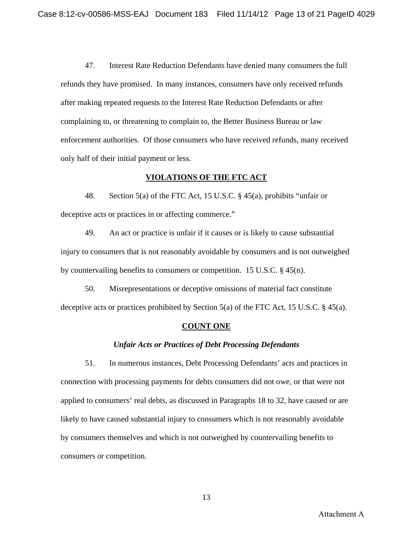47. Interest Rate Reduction Defendants have denied many consumers the full refunds they have promised. In many instances, consumers have only received refunds after making repeated requests to the Interest Rate Reduction Defendants or after complaining to, or threatening to complain to, the Better Business Bureau or law enforcement authorities. Of those consumers who have received refunds, many received only half of their initial payment or less.

### **VIOLATIONS OF THE FTC ACT**

48. Section 5(a) of the FTC Act, 15 U.S.C. § 45(a), prohibits "unfair or deceptive acts or practices in or affecting commerce."

49. An act or practice is unfair if it causes or is likely to cause substantial injury to consumers that is not reasonably avoidable by consumers and is not outweighed by countervailing benefits to consumers or competition. 15 U.S.C. § 45(n).

50. Misrepresentations or deceptive omissions of material fact constitute deceptive acts or practices prohibited by Section 5(a) of the FTC Act, 15 U.S.C. § 45(a).

### **COUNT ONE**

## *Unfair Acts or Practices of Debt Processing Defendants*

51. In numerous instances, Debt Processing Defendants' acts and practices in connection with processing payments for debts consumers did not owe, or that were not applied to consumers' real debts, as discussed in Paragraphs 18 to 32, have caused or are likely to have caused substantial injury to consumers which is not reasonably avoidable by consumers themselves and which is not outweighed by countervailing benefits to consumers or competition.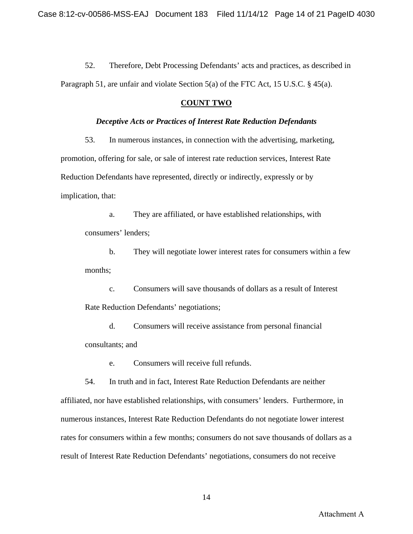52. Therefore, Debt Processing Defendants' acts and practices, as described in Paragraph 51, are unfair and violate Section 5(a) of the FTC Act, 15 U.S.C. § 45(a).

## **COUNT TWO**

### *Deceptive Acts or Practices of Interest Rate Reduction Defendants*

53. In numerous instances, in connection with the advertising, marketing, promotion, offering for sale, or sale of interest rate reduction services, Interest Rate Reduction Defendants have represented, directly or indirectly, expressly or by implication, that:

 a. They are affiliated, or have established relationships, with consumers' lenders;

b. They will negotiate lower interest rates for consumers within a few months;

c. Consumers will save thousands of dollars as a result of Interest Rate Reduction Defendants' negotiations;

d. Consumers will receive assistance from personal financial consultants; and

e. Consumers will receive full refunds.

 54. In truth and in fact, Interest Rate Reduction Defendants are neither affiliated, nor have established relationships, with consumers' lenders. Furthermore, in numerous instances, Interest Rate Reduction Defendants do not negotiate lower interest rates for consumers within a few months; consumers do not save thousands of dollars as a result of Interest Rate Reduction Defendants' negotiations, consumers do not receive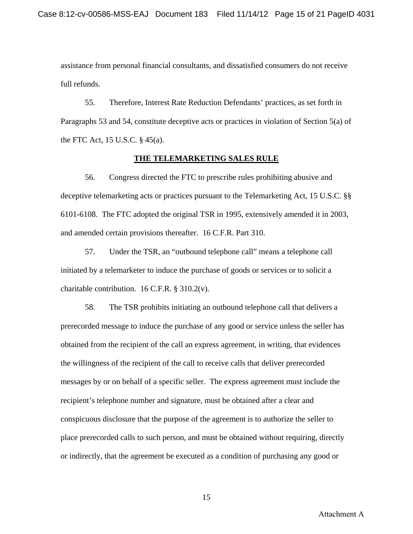assistance from personal financial consultants, and dissatisfied consumers do not receive full refunds.

 55. Therefore, Interest Rate Reduction Defendants' practices, as set forth in Paragraphs 53 and 54, constitute deceptive acts or practices in violation of Section 5(a) of the FTC Act, 15 U.S.C. § 45(a).

#### **THE TELEMARKETING SALES RULE**

56. Congress directed the FTC to prescribe rules prohibiting abusive and deceptive telemarketing acts or practices pursuant to the Telemarketing Act, 15 U.S.C. §§ 6101-6108. The FTC adopted the original TSR in 1995, extensively amended it in 2003, and amended certain provisions thereafter. 16 C.F.R. Part 310.

 57. Under the TSR, an "outbound telephone call" means a telephone call initiated by a telemarketer to induce the purchase of goods or services or to solicit a charitable contribution.  $16$  C.F.R. § 310.2(v).

58. The TSR prohibits initiating an outbound telephone call that delivers a prerecorded message to induce the purchase of any good or service unless the seller has obtained from the recipient of the call an express agreement, in writing, that evidences the willingness of the recipient of the call to receive calls that deliver prerecorded messages by or on behalf of a specific seller. The express agreement must include the recipient's telephone number and signature, must be obtained after a clear and conspicuous disclosure that the purpose of the agreement is to authorize the seller to place prerecorded calls to such person, and must be obtained without requiring, directly or indirectly, that the agreement be executed as a condition of purchasing any good or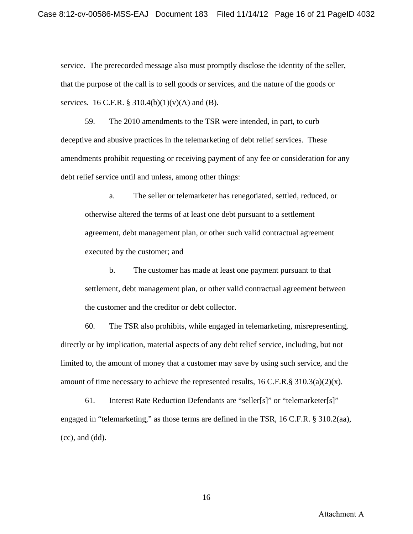service. The prerecorded message also must promptly disclose the identity of the seller, that the purpose of the call is to sell goods or services, and the nature of the goods or services. 16 C.F.R. § 310.4(b)(1)(v)(A) and (B).

59. The 2010 amendments to the TSR were intended, in part, to curb deceptive and abusive practices in the telemarketing of debt relief services. These amendments prohibit requesting or receiving payment of any fee or consideration for any debt relief service until and unless, among other things:

a. The seller or telemarketer has renegotiated, settled, reduced, or otherwise altered the terms of at least one debt pursuant to a settlement agreement, debt management plan, or other such valid contractual agreement executed by the customer; and

b. The customer has made at least one payment pursuant to that settlement, debt management plan, or other valid contractual agreement between the customer and the creditor or debt collector.

60. The TSR also prohibits, while engaged in telemarketing, misrepresenting, directly or by implication, material aspects of any debt relief service, including, but not limited to, the amount of money that a customer may save by using such service, and the amount of time necessary to achieve the represented results,  $16$  C.F.R.§  $310.3(a)(2)(x)$ .

 61. Interest Rate Reduction Defendants are "seller[s]" or "telemarketer[s]" engaged in "telemarketing," as those terms are defined in the TSR, 16 C.F.R. § 310.2(aa),  $(cc)$ , and  $(dd)$ .

Attachment A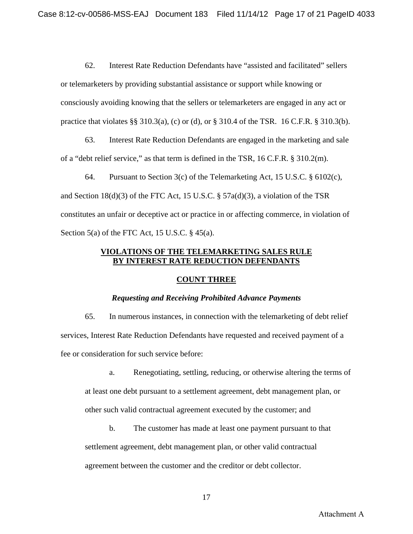62. Interest Rate Reduction Defendants have "assisted and facilitated" sellers or telemarketers by providing substantial assistance or support while knowing or consciously avoiding knowing that the sellers or telemarketers are engaged in any act or practice that violates §§ 310.3(a), (c) or (d), or § 310.4 of the TSR. 16 C.F.R. § 310.3(b).

63. Interest Rate Reduction Defendants are engaged in the marketing and sale of a "debt relief service," as that term is defined in the TSR, 16 C.F.R. § 310.2(m).

64. Pursuant to Section 3(c) of the Telemarketing Act, 15 U.S.C.  $\S$  6102(c), and Section 18(d)(3) of the FTC Act, 15 U.S.C.  $\S$  57a(d)(3), a violation of the TSR constitutes an unfair or deceptive act or practice in or affecting commerce, in violation of Section 5(a) of the FTC Act, 15 U.S.C.  $\S$  45(a).

# **VIOLATIONS OF THE TELEMARKETING SALES RULE BY INTEREST RATE REDUCTION DEFENDANTS**

## **COUNT THREE**

## *Requesting and Receiving Prohibited Advance Payments*

65. In numerous instances, in connection with the telemarketing of debt relief services, Interest Rate Reduction Defendants have requested and received payment of a fee or consideration for such service before:

a. Renegotiating, settling, reducing, or otherwise altering the terms of at least one debt pursuant to a settlement agreement, debt management plan, or other such valid contractual agreement executed by the customer; and

b. The customer has made at least one payment pursuant to that settlement agreement, debt management plan, or other valid contractual agreement between the customer and the creditor or debt collector.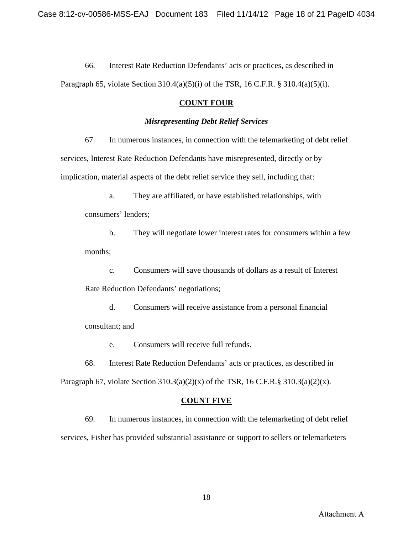66. Interest Rate Reduction Defendants' acts or practices, as described in Paragraph 65, violate Section 310.4(a)(5)(i) of the TSR, 16 C.F.R. § 310.4(a)(5)(i).

# **COUNT FOUR**

## *Misrepresenting Debt Relief Services*

 67. In numerous instances, in connection with the telemarketing of debt relief services, Interest Rate Reduction Defendants have misrepresented, directly or by implication, material aspects of the debt relief service they sell, including that:

a. They are affiliated, or have established relationships, with

consumers' lenders;

b. They will negotiate lower interest rates for consumers within a few months;

c. Consumers will save thousands of dollars as a result of Interest Rate Reduction Defendants' negotiations;

d. Consumers will receive assistance from a personal financial consultant; and

e. Consumers will receive full refunds.

68. Interest Rate Reduction Defendants' acts or practices, as described in Paragraph 67, violate Section  $310.3(a)(2)(x)$  of the TSR, 16 C.F.R.§  $310.3(a)(2)(x)$ .

# **COUNT FIVE**

 69. In numerous instances, in connection with the telemarketing of debt relief services, Fisher has provided substantial assistance or support to sellers or telemarketers

Attachment A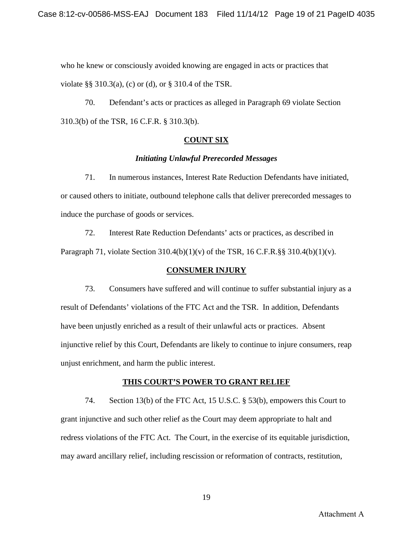who he knew or consciously avoided knowing are engaged in acts or practices that violate §§ 310.3(a), (c) or (d), or § 310.4 of the TSR.

70. Defendant's acts or practices as alleged in Paragraph 69 violate Section 310.3(b) of the TSR, 16 C.F.R. § 310.3(b).

## **COUNT SIX**

### *Initiating Unlawful Prerecorded Messages*

 71. In numerous instances, Interest Rate Reduction Defendants have initiated, or caused others to initiate, outbound telephone calls that deliver prerecorded messages to induce the purchase of goods or services.

72. Interest Rate Reduction Defendants' acts or practices, as described in Paragraph 71, violate Section 310.4(b)(1)(v) of the TSR, 16 C.F.R.§§ 310.4(b)(1)(v).

## **CONSUMER INJURY**

73. Consumers have suffered and will continue to suffer substantial injury as a result of Defendants' violations of the FTC Act and the TSR. In addition, Defendants have been unjustly enriched as a result of their unlawful acts or practices. Absent injunctive relief by this Court, Defendants are likely to continue to injure consumers, reap unjust enrichment, and harm the public interest.

## **THIS COURT'S POWER TO GRANT RELIEF**

74. Section 13(b) of the FTC Act, 15 U.S.C. § 53(b), empowers this Court to grant injunctive and such other relief as the Court may deem appropriate to halt and redress violations of the FTC Act. The Court, in the exercise of its equitable jurisdiction, may award ancillary relief, including rescission or reformation of contracts, restitution,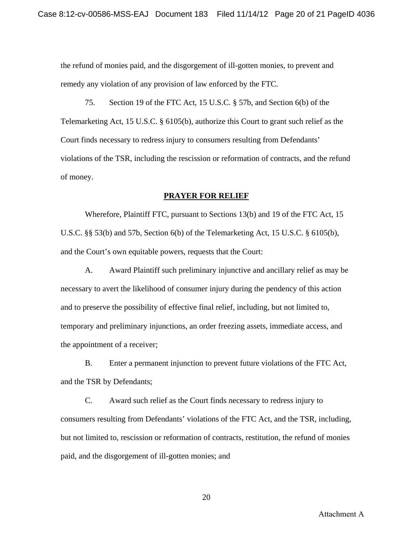the refund of monies paid, and the disgorgement of ill-gotten monies, to prevent and remedy any violation of any provision of law enforced by the FTC.

75. Section 19 of the FTC Act, 15 U.S.C. § 57b, and Section 6(b) of the Telemarketing Act, 15 U.S.C. § 6105(b), authorize this Court to grant such relief as the Court finds necessary to redress injury to consumers resulting from Defendants' violations of the TSR, including the rescission or reformation of contracts, and the refund of money.

### **PRAYER FOR RELIEF**

 Wherefore, Plaintiff FTC, pursuant to Sections 13(b) and 19 of the FTC Act, 15 U.S.C. §§ 53(b) and 57b, Section 6(b) of the Telemarketing Act, 15 U.S.C. § 6105(b), and the Court's own equitable powers, requests that the Court:

 A. Award Plaintiff such preliminary injunctive and ancillary relief as may be necessary to avert the likelihood of consumer injury during the pendency of this action and to preserve the possibility of effective final relief, including, but not limited to, temporary and preliminary injunctions, an order freezing assets, immediate access, and the appointment of a receiver;

 B. Enter a permanent injunction to prevent future violations of the FTC Act, and the TSR by Defendants;

 C. Award such relief as the Court finds necessary to redress injury to consumers resulting from Defendants' violations of the FTC Act, and the TSR, including, but not limited to, rescission or reformation of contracts, restitution, the refund of monies paid, and the disgorgement of ill-gotten monies; and